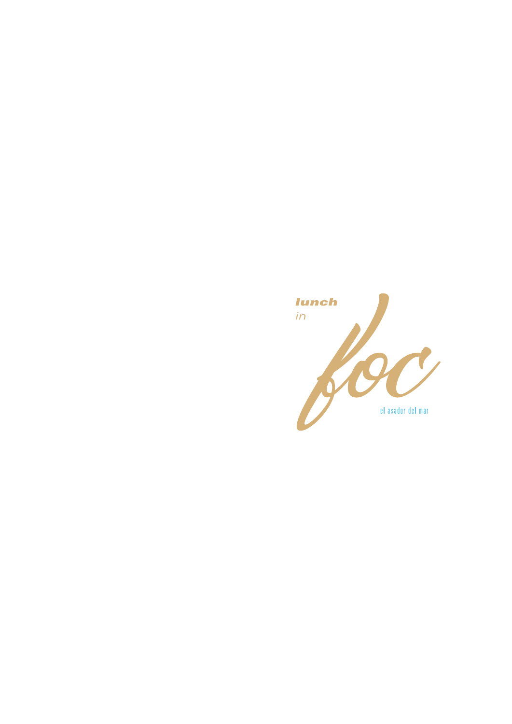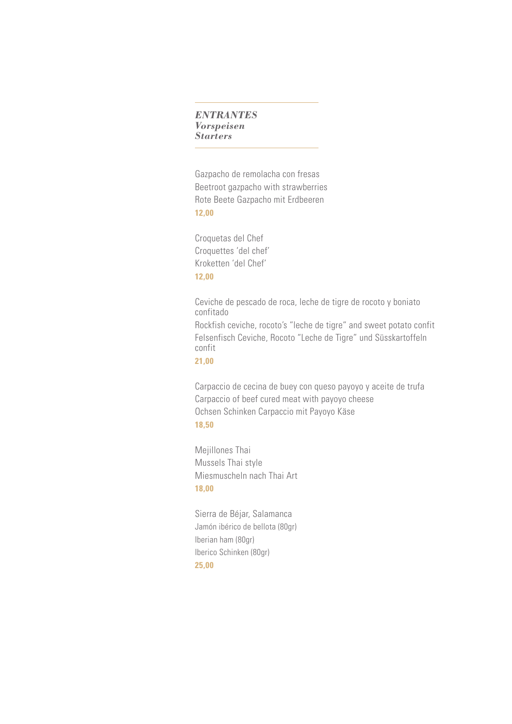### *ENTRANTES Vorspeisen Starters*

Gazpacho de remolacha con fresas Beetroot gazpacho with strawberries Rote Beete Gazpacho mit Erdbeeren **12,00**

Croquetas del Chef Croquettes 'del chef' Kroketten 'del Chef' **12,00**

Ceviche de pescado de roca, leche de tigre de rocoto y boniato confitado

Rockfish ceviche, rocoto's "leche de tigre" and sweet potato confit Felsenfisch Ceviche, Rocoto "Leche de Tigre" und Süsskartoffeln confit

**21,00**

Carpaccio de cecina de buey con queso payoyo y aceite de trufa Carpaccio of beef cured meat with payoyo cheese Ochsen Schinken Carpaccio mit Payoyo Käse **18,50**

Mejillones Thai Mussels Thai style Miesmuscheln nach Thai Art **18,00**

Sierra de Béjar, Salamanca Jamón ibérico de bellota (80gr) Iberian ham (80gr) Iberico Schinken (80gr) **25,00**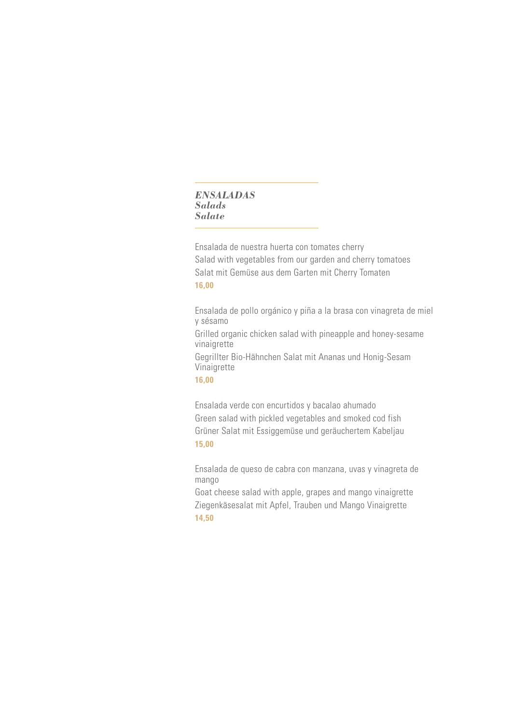## *ENSALADAS Salads Salate*

Ensalada de nuestra huerta con tomates cherry Salad with vegetables from our garden and cherry tomatoes Salat mit Gemüse aus dem Garten mit Cherry Tomaten **16,00**

Ensalada de pollo orgánico y piña a la brasa con vinagreta de miel y sésamo

Grilled organic chicken salad with pineapple and honey-sesame vinaigrette

Gegrillter Bio-Hähnchen Salat mit Ananas und Honig-Sesam Vinaigrette

**16,00**

Ensalada verde con encurtidos y bacalao ahumado Green salad with pickled vegetables and smoked cod fish Grüner Salat mit Essiggemüse und geräuchertem Kabeljau **15,00**

Ensalada de queso de cabra con manzana, uvas y vinagreta de mango

Goat cheese salad with apple, grapes and mango vinaigrette Ziegenkäsesalat mit Apfel, Trauben und Mango Vinaigrette **14,50**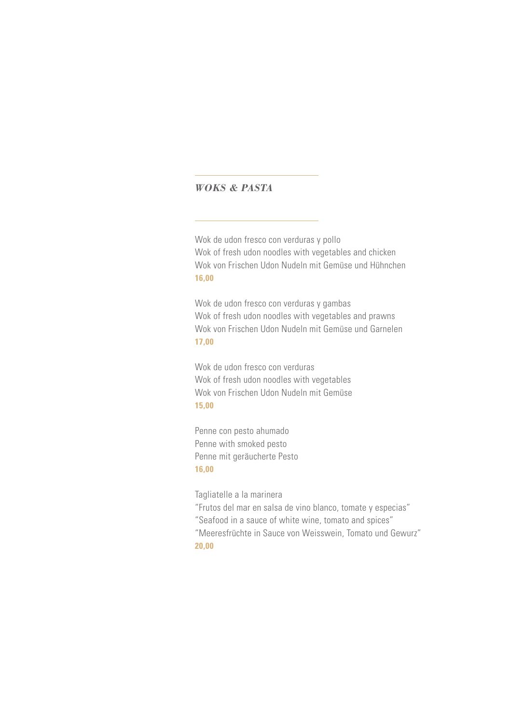# *WOKS & PASTA*

Wok de udon fresco con verduras y pollo Wok of fresh udon noodles with vegetables and chicken Wok von Frischen Udon Nudeln mit Gemüse und Hühnchen **16,00**

Wok de udon fresco con verduras y gambas Wok of fresh udon noodles with vegetables and prawns Wok von Frischen Udon Nudeln mit Gemüse und Garnelen **17,00**

Wok de udon fresco con verduras Wok of fresh udon noodles with vegetables Wok von Frischen Udon Nudeln mit Gemüse **15,00**

Penne con pesto ahumado Penne with smoked pesto Penne mit geräucherte Pesto **16,00**

Tagliatelle a la marinera

"Frutos del mar en salsa de vino blanco, tomate y especias"

- "Seafood in a sauce of white wine, tomato and spices"
- "Meeresfrüchte in Sauce von Weisswein, Tomato und Gewurz" **20,00**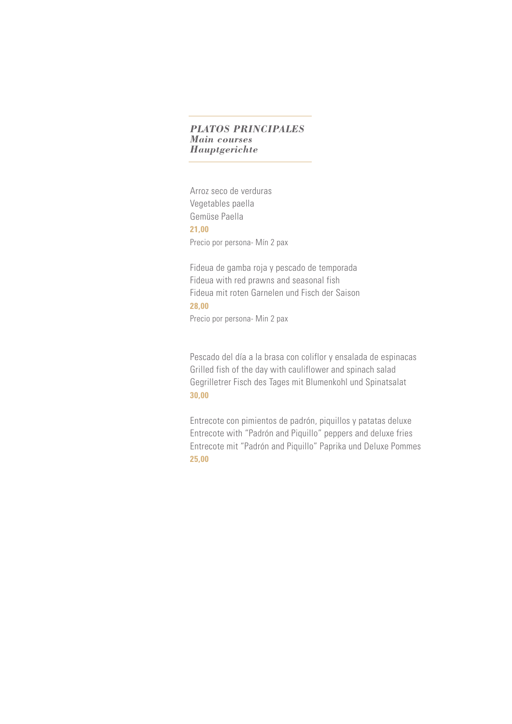# *PLATOS PRINCIPALES Main courses Hauptgerichte*

Arroz seco de verduras Vegetables paella Gemüse Paella **21,00** Precio por persona- Mín 2 pax

Fideua de gamba roja y pescado de temporada Fideua with red prawns and seasonal fish Fideua mit roten Garnelen und Fisch der Saison **28,00**

Precio por persona- Min 2 pax

Pescado del día a la brasa con coliflor y ensalada de espinacas Grilled fish of the day with cauliflower and spinach salad Gegrilletrer Fisch des Tages mit Blumenkohl und Spinatsalat **30,00**

Entrecote con pimientos de padrón, piquillos y patatas deluxe Entrecote with "Padrón and Piquillo" peppers and deluxe fries Entrecote mit "Padrón and Piquillo" Paprika und Deluxe Pommes **25,00**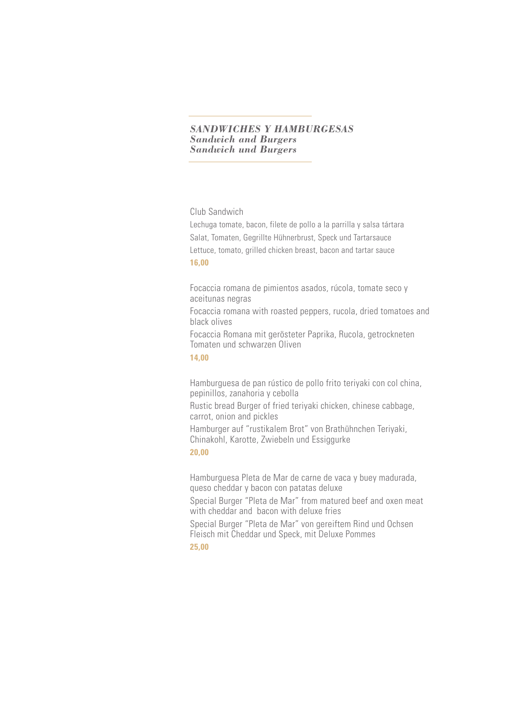#### *SANDWICHES Y HAMBURGESAS Sandwich and Burgers Sandwich und Burgers*

## Club Sandwich

Lechuga tomate, bacon, filete de pollo a la parrilla y salsa tártara Salat, Tomaten, Gegrillte Hühnerbrust, Speck und Tartarsauce Lettuce, tomato, grilled chicken breast, bacon and tartar sauce **16,00**

Focaccia romana de pimientos asados, rúcola, tomate seco y aceitunas negras

Focaccia romana with roasted peppers, rucola, dried tomatoes and black olives

Focaccia Romana mit gerösteter Paprika, Rucola, getrockneten Tomaten und schwarzen Oliven

# **14,00**

Hamburguesa de pan rústico de pollo frito teriyaki con col china, pepinillos, zanahoria y cebolla

Rustic bread Burger of fried teriyaki chicken, chinese cabbage, carrot, onion and pickles

Hamburger auf "rustikalem Brot" von Brathühnchen Teriyaki, Chinakohl, Karotte, Zwiebeln und Essiggurke **20,00**

Hamburguesa Pleta de Mar de carne de vaca y buey madurada, queso cheddar y bacon con patatas deluxe

Special Burger "Pleta de Mar" from matured beef and oxen meat with cheddar and bacon with deluxe fries

Special Burger "Pleta de Mar" von gereiftem Rind und Ochsen Fleisch mit Cheddar und Speck, mit Deluxe Pommes

**25,00**